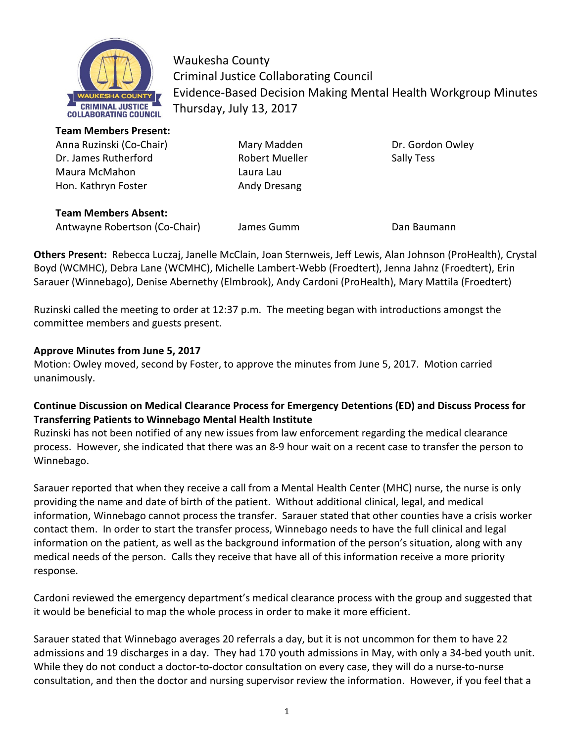

Waukesha County Criminal Justice Collaborating Council Evidence-Based Decision Making Mental Health Workgroup Minutes Thursday, July 13, 2017

**Team Members Present:** 

Dr. James Rutherford **Robert Mueller** Robert Mueller Sally Tess Maura McMahon **Laura Laura** Laura Lau Hon. Kathryn Foster **Andy Dresang** 

Anna Ruzinski (Co-Chair) Mary Madden Dr. Gordon Owley

**Team Members Absent:** Antwayne Robertson (Co-Chair) James Gumm Dan Baumann

**Others Present:** Rebecca Luczaj, Janelle McClain, Joan Sternweis, Jeff Lewis, Alan Johnson (ProHealth), Crystal Boyd (WCMHC), Debra Lane (WCMHC), Michelle Lambert-Webb (Froedtert), Jenna Jahnz (Froedtert), Erin Sarauer (Winnebago), Denise Abernethy (Elmbrook), Andy Cardoni (ProHealth), Mary Mattila (Froedtert)

Ruzinski called the meeting to order at 12:37 p.m. The meeting began with introductions amongst the committee members and guests present.

## **Approve Minutes from June 5, 2017**

Motion: Owley moved, second by Foster, to approve the minutes from June 5, 2017. Motion carried unanimously.

### **Continue Discussion on Medical Clearance Process for Emergency Detentions (ED) and Discuss Process for Transferring Patients to Winnebago Mental Health Institute**

Ruzinski has not been notified of any new issues from law enforcement regarding the medical clearance process. However, she indicated that there was an 8-9 hour wait on a recent case to transfer the person to Winnebago.

Sarauer reported that when they receive a call from a Mental Health Center (MHC) nurse, the nurse is only providing the name and date of birth of the patient. Without additional clinical, legal, and medical information, Winnebago cannot process the transfer. Sarauer stated that other counties have a crisis worker contact them. In order to start the transfer process, Winnebago needs to have the full clinical and legal information on the patient, as well as the background information of the person's situation, along with any medical needs of the person. Calls they receive that have all of this information receive a more priority response.

Cardoni reviewed the emergency department's medical clearance process with the group and suggested that it would be beneficial to map the whole process in order to make it more efficient.

Sarauer stated that Winnebago averages 20 referrals a day, but it is not uncommon for them to have 22 admissions and 19 discharges in a day. They had 170 youth admissions in May, with only a 34-bed youth unit. While they do not conduct a doctor-to-doctor consultation on every case, they will do a nurse-to-nurse consultation, and then the doctor and nursing supervisor review the information. However, if you feel that a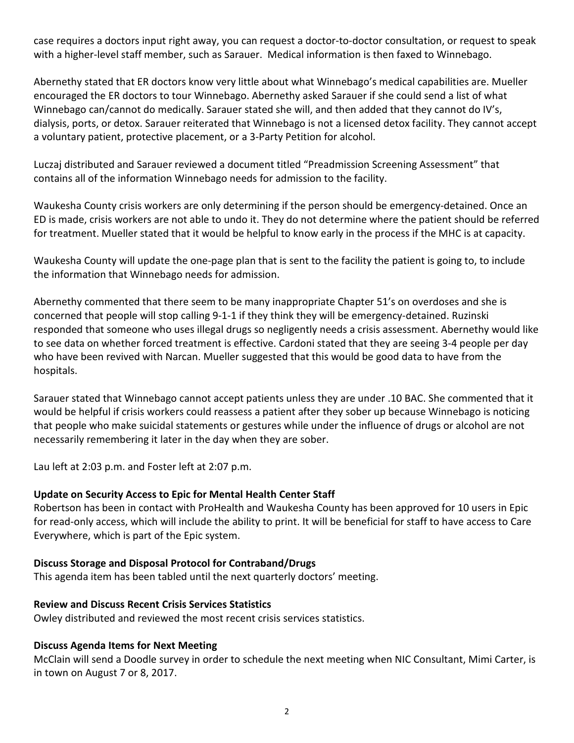case requires a doctors input right away, you can request a doctor-to-doctor consultation, or request to speak with a higher-level staff member, such as Sarauer. Medical information is then faxed to Winnebago.

Abernethy stated that ER doctors know very little about what Winnebago's medical capabilities are. Mueller encouraged the ER doctors to tour Winnebago. Abernethy asked Sarauer if she could send a list of what Winnebago can/cannot do medically. Sarauer stated she will, and then added that they cannot do IV's, dialysis, ports, or detox. Sarauer reiterated that Winnebago is not a licensed detox facility. They cannot accept a voluntary patient, protective placement, or a 3-Party Petition for alcohol.

Luczaj distributed and Sarauer reviewed a document titled "Preadmission Screening Assessment" that contains all of the information Winnebago needs for admission to the facility.

Waukesha County crisis workers are only determining if the person should be emergency-detained. Once an ED is made, crisis workers are not able to undo it. They do not determine where the patient should be referred for treatment. Mueller stated that it would be helpful to know early in the process if the MHC is at capacity.

Waukesha County will update the one-page plan that is sent to the facility the patient is going to, to include the information that Winnebago needs for admission.

Abernethy commented that there seem to be many inappropriate Chapter 51's on overdoses and she is concerned that people will stop calling 9-1-1 if they think they will be emergency-detained. Ruzinski responded that someone who uses illegal drugs so negligently needs a crisis assessment. Abernethy would like to see data on whether forced treatment is effective. Cardoni stated that they are seeing 3-4 people per day who have been revived with Narcan. Mueller suggested that this would be good data to have from the hospitals.

Sarauer stated that Winnebago cannot accept patients unless they are under .10 BAC. She commented that it would be helpful if crisis workers could reassess a patient after they sober up because Winnebago is noticing that people who make suicidal statements or gestures while under the influence of drugs or alcohol are not necessarily remembering it later in the day when they are sober.

Lau left at 2:03 p.m. and Foster left at 2:07 p.m.

#### **Update on Security Access to Epic for Mental Health Center Staff**

Robertson has been in contact with ProHealth and Waukesha County has been approved for 10 users in Epic for read-only access, which will include the ability to print. It will be beneficial for staff to have access to Care Everywhere, which is part of the Epic system.

#### **Discuss Storage and Disposal Protocol for Contraband/Drugs**

This agenda item has been tabled until the next quarterly doctors' meeting.

#### **Review and Discuss Recent Crisis Services Statistics**

Owley distributed and reviewed the most recent crisis services statistics.

#### **Discuss Agenda Items for Next Meeting**

McClain will send a Doodle survey in order to schedule the next meeting when NIC Consultant, Mimi Carter, is in town on August 7 or 8, 2017.